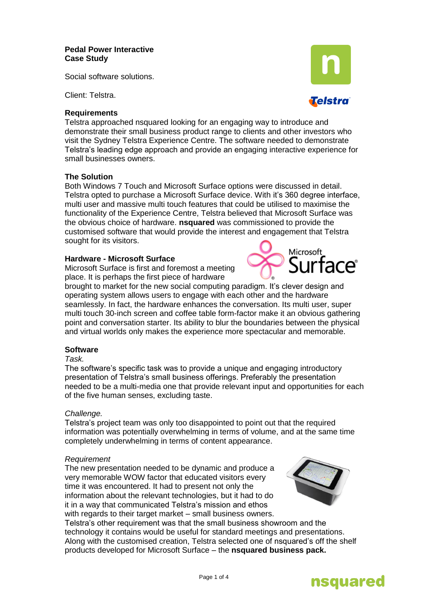### **Pedal Power Interactive Case Study**

Social software solutions.

Client: Telstra.

### **Requirements**

Telstra approached nsquared looking for an engaging way to introduce and demonstrate their small business product range to clients and other investors who visit the Sydney Telstra Experience Centre. The software needed to demonstrate Telstra"s leading edge approach and provide an engaging interactive experience for small businesses owners.

## **The Solution**

Both Windows 7 Touch and Microsoft Surface options were discussed in detail. Telstra opted to purchase a Microsoft Surface device. With it"s 360 degree interface, multi user and massive multi touch features that could be utilised to maximise the functionality of the Experience Centre, Telstra believed that Microsoft Surface was the obvious choice of hardware. **nsquared** was commissioned to provide the customised software that would provide the interest and engagement that Telstra sought for its visitors.

# **Hardware - Microsoft Surface**

Microsoft Surface is first and foremost a meeting place. It is perhaps the first piece of hardware

brought to market for the new social computing paradigm. It's clever design and operating system allows users to engage with each other and the hardware seamlessly. In fact, the hardware enhances the conversation. Its multi user, super multi touch 30-inch screen and coffee table form-factor make it an obvious gathering point and conversation starter. Its ability to blur the boundaries between the physical and virtual worlds only makes the experience more spectacular and memorable.

# **Software**

### *Task.*

The software"s specific task was to provide a unique and engaging introductory presentation of Telstra"s small business offerings. Preferably the presentation needed to be a multi-media one that provide relevant input and opportunities for each of the five human senses, excluding taste.

#### *Challenge.*

Telstra"s project team was only too disappointed to point out that the required information was potentially overwhelming in terms of volume, and at the same time completely underwhelming in terms of content appearance.

#### *Requirement*

The new presentation needed to be dynamic and produce a very memorable WOW factor that educated visitors every time it was encountered. It had to present not only the information about the relevant technologies, but it had to do it in a way that communicated Telstra"s mission and ethos with regards to their target market – small business owners.

Telstra"s other requirement was that the small business showroom and the technology it contains would be useful for standard meetings and presentations. Along with the customised creation, Telstra selected one of nsquared"s off the shelf products developed for Microsoft Surface – the **nsquared business pack.**









**Telstra**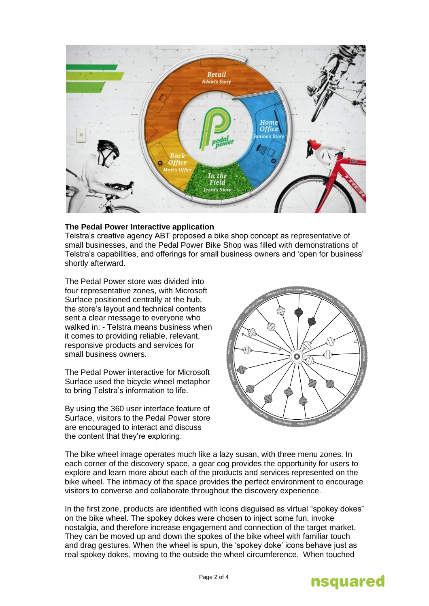

# **The Pedal Power Interactive application**

Telstra"s creative agency ABT proposed a bike shop concept as representative of small businesses, and the Pedal Power Bike Shop was filled with demonstrations of Telstra"s capabilities, and offerings for small business owners and "open for business" shortly afterward.

The Pedal Power store was divided into four representative zones, with Microsoft Surface positioned centrally at the hub, the store"s layout and technical contents sent a clear message to everyone who walked in: - Telstra means business when it comes to providing reliable, relevant, responsive products and services for small business owners.

The Pedal Power interactive for Microsoft Surface used the bicycle wheel metaphor to bring Telstra"s information to life.

By using the 360 user interface feature of Surface, visitors to the Pedal Power store are encouraged to interact and discuss the content that they"re exploring.



The bike wheel image operates much like a lazy susan, with three menu zones. In each corner of the discovery space, a gear cog provides the opportunity for users to explore and learn more about each of the products and services represented on the bike wheel. The intimacy of the space provides the perfect environment to encourage visitors to converse and collaborate throughout the discovery experience.

In the first zone, products are identified with icons disguised as virtual "spokey dokes" on the bike wheel. The spokey dokes were chosen to inject some fun, invoke nostalgia, and therefore increase engagement and connection of the target market. They can be moved up and down the spokes of the bike wheel with familiar touch and drag gestures. When the wheel is spun, the "spokey doke" icons behave just as real spokey dokes, moving to the outside the wheel circumference. When touched

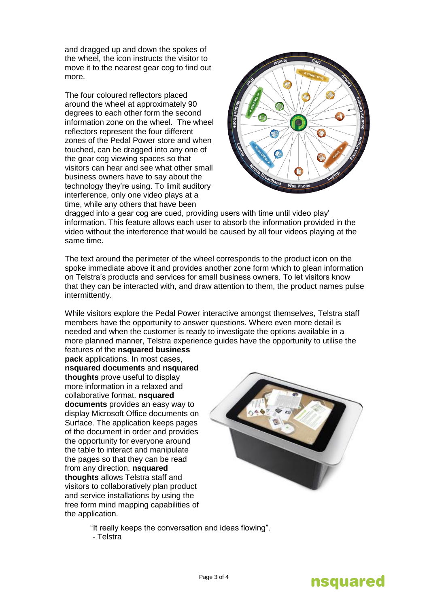and dragged up and down the spokes of the wheel, the icon instructs the visitor to move it to the nearest gear cog to find out more.

The four coloured reflectors placed around the wheel at approximately 90 degrees to each other form the second information zone on the wheel. The wheel reflectors represent the four different zones of the Pedal Power store and when touched, can be dragged into any one of the gear cog viewing spaces so that visitors can hear and see what other small business owners have to say about the technology they"re using. To limit auditory interference, only one video plays at a time, while any others that have been



dragged into a gear cog are cued, providing users with time until video play" information. This feature allows each user to absorb the information provided in the video without the interference that would be caused by all four videos playing at the same time.

The text around the perimeter of the wheel corresponds to the product icon on the spoke immediate above it and provides another zone form which to glean information on Telstra"s products and services for small business owners. To let visitors know that they can be interacted with, and draw attention to them, the product names pulse intermittently.

While visitors explore the Pedal Power interactive amongst themselves, Telstra staff members have the opportunity to answer questions. Where even more detail is needed and when the customer is ready to investigate the options available in a more planned manner, Telstra experience guides have the opportunity to utilise the features of the **nsquared business** 

**pack** applications. In most cases, **nsquared documents** and **nsquared thoughts** prove useful to display more information in a relaxed and collaborative format. **nsquared documents** provides an easy way to display Microsoft Office documents on Surface. The application keeps pages of the document in order and provides the opportunity for everyone around the table to interact and manipulate the pages so that they can be read from any direction. **nsquared thoughts** allows Telstra staff and visitors to collaboratively plan product and service installations by using the free form mind mapping capabilities of the application.



"It really keeps the conversation and ideas flowing". - Telstra